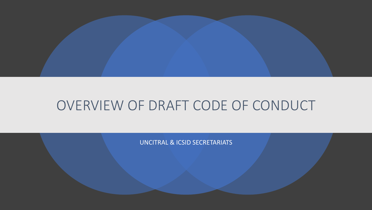

## OVERVIEW OF DRAFT CODE OF CONDUCT

UNCITRAL & ICSID SECRETARIATS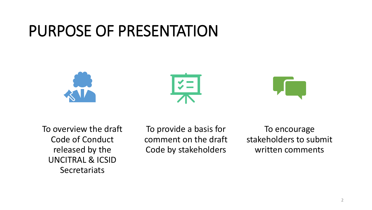# PURPOSE OF PRESENTATION







To overview the draft Code of Conduct released by the UNCITRAL & ICSID **Secretariats** 

To provide a basis for comment on the draft Code by stakeholders

To encourage stakeholders to submit written comments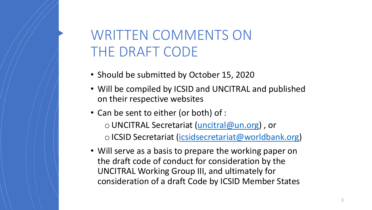# WRITTEN COMMENTS ON THE DRAFT CODE

- Should be submitted by October 15, 2020
- Will be compiled by ICSID and UNCITRAL and published on their respective websites
- Can be sent to either (or both) of :

oUNCITRAL Secretariat ([uncitral@un.org](mailto:uncitral@un.org?subject=Comments%20-%20Draft%20Code%20of%20Conduct)) , or

o ICSID Secretariat ([icsidsecretariat@worldbank.org](mailto:icsidsecretariat@worldbank.org?subject=Comments%20-%20Draft%20Code%20of%20Conduct))

• Will serve as a basis to prepare the working paper on the draft code of conduct for consideration by the UNCITRAL Working Group III, and ultimately for consideration of a draft Code by ICSID Member States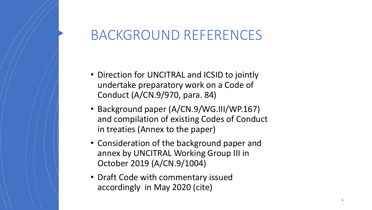## BACKGROUND REFERENCES

- Direction for UNCITRAL and ICSID to jointly undertake preparatory work on a Code of Conduct (A/CN.9/970, para. 84)
- Background paper (A/CN.9/WG.III/WP.167) and compilation of existing Codes of Conduct in treaties (Annex to the paper)
- Consideration of the background paper and annex by UNCITRAL Working Group III in October 2019 (A/CN.9/1004)
- Draft Code with commentary issued accordingly in May 2020 (cite)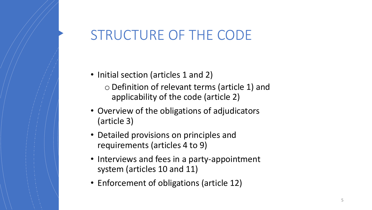## STRUCTURE OF THE CODE

- Initial section (articles 1 and 2) oDefinition of relevant terms (article 1) and applicability of the code (article 2)
- Overview of the obligations of adjudicators (article 3)
- Detailed provisions on principles and requirements (articles 4 to 9)
- Interviews and fees in a party-appointment system (articles 10 and 11)
- Enforcement of obligations (article 12)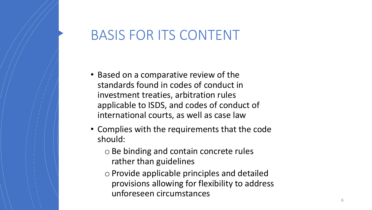## BASIS FOR ITS CONTENT

- Based on a comparative review of the standards found in codes of conduct in investment treaties, arbitration rules applicable to ISDS, and codes of conduct of international courts, as well as case law
- Complies with the requirements that the code should:
	- oBe binding and contain concrete rules rather than guidelines
	- $\circ$  Provide applicable principles and detailed provisions allowing for flexibility to address unforeseen circumstances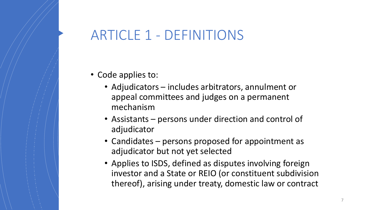## ARTICLE 1 - DEFINITIONS

- Code applies to:
	- Adjudicators includes arbitrators, annulment or appeal committees and judges on a permanent mechanism
	- Assistants persons under direction and control of adjudicator
	- Candidates persons proposed for appointment as adjudicator but not yet selected
	- Applies to ISDS, defined as disputes involving foreign investor and a State or REIO (or constituent subdivision thereof), arising under treaty, domestic law or contract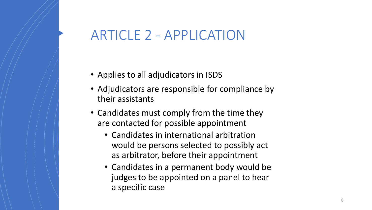## ARTICLE 2 - APPLICATION

- Applies to all adjudicators in ISDS
- Adjudicators are responsible for compliance by their assistants
- Candidates must comply from the time they are contacted for possible appointment
	- Candidates in international arbitration would be persons selected to possibly act as arbitrator, before their appointment
	- Candidates in a permanent body would be judges to be appointed on a panel to hear a specific case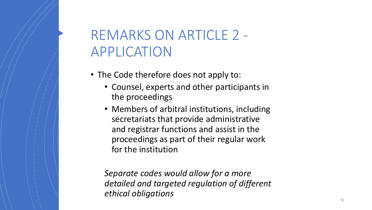# REMARKS ON ARTICLE 2 - APPLICATION

- The Code therefore does not apply to:
	- Counsel, experts and other participants in the proceedings
	- Members of arbitral institutions, including secretariats that provide administrative and registrar functions and assist in the proceedings as part of their regular work for the institution

*Separate codes would allow for a more detailed and targeted regulation of different ethical obligations*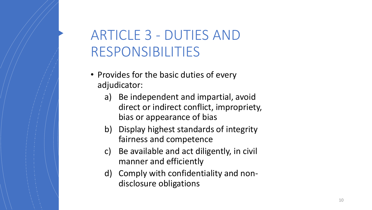# ARTICLE 3 - DUTIES AND RESPONSIBILITIES

- Provides for the basic duties of every adjudicator:
	- a) Be independent and impartial, avoid direct or indirect conflict, impropriety, bias or appearance of bias
	- b) Display highest standards of integrity fairness and competence
	- c) Be available and act diligently, in civil manner and efficiently
	- d) Comply with confidentiality and nondisclosure obligations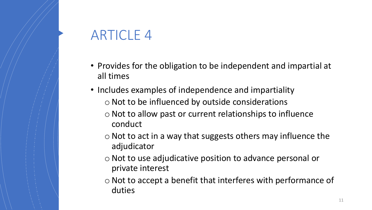# ARTICLE 4

- Provides for the obligation to be independent and impartial at all times
- Includes examples of independence and impartiality  $\circ$  Not to be influenced by outside considerations
	- $\circ$  Not to allow past or current relationships to influence conduct
	- $\circ$  Not to act in a way that suggests others may influence the adjudicator
	- oNot to use adjudicative position to advance personal or private interest
	- $\circ$  Not to accept a benefit that interferes with performance of duties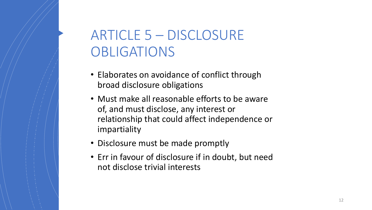# ARTICLE 5 – DISCLOSURE OBLIGATIONS

- Elaborates on avoidance of conflict through broad disclosure obligations
- Must make all reasonable efforts to be aware of, and must disclose, any interest or relationship that could affect independence or impartiality
- Disclosure must be made promptly
- Err in favour of disclosure if in doubt, but need not disclose trivial interests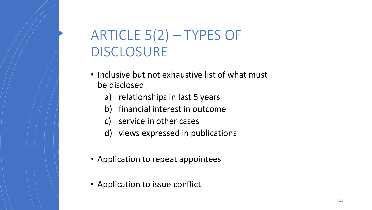# ARTICLE 5(2) – TYPES OF DISCLOSURE

- Inclusive but not exhaustive list of what must be disclosed
	- a) relationships in last 5 years
	- b) financial interest in outcome
	- c) service in other cases
	- d) views expressed in publications
- Application to repeat appointees
- Application to issue conflict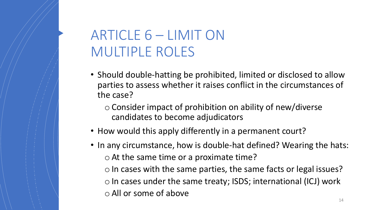# ARTICLE 6 – LIMIT ON MULTIPLE ROLES

- Should double-hatting be prohibited, limited or disclosed to allow parties to assess whether it raises conflict in the circumstances of the case?
	- $\circ$  Consider impact of prohibition on ability of new/diverse candidates to become adjudicators
- How would this apply differently in a permanent court?
- In any circumstance, how is double-hat defined? Wearing the hats:  $\circ$  At the same time or a proximate time?  $\circ$  In cases with the same parties, the same facts or legal issues?  $\circ$  In cases under the same treaty; ISDS; international (ICJ) work oAll or some of above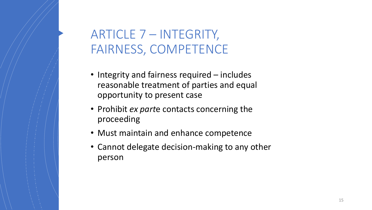## ARTICLE 7 – INTEGRITY, FAIRNESS, COMPETENCE

- Integrity and fairness required includes reasonable treatment of parties and equal opportunity to present case
- Prohibit *ex part*e contacts concerning the proceeding
- Must maintain and enhance competence
- Cannot delegate decision-making to any other person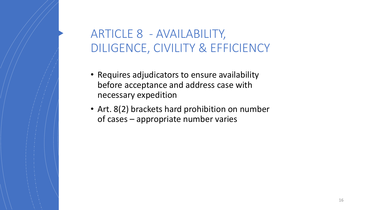### ARTICLE 8 - AVAILABILITY, DILIGENCE, CIVILITY & EFFICIENCY

- Requires adjudicators to ensure availability before acceptance and address case with necessary expedition
- Art. 8(2) brackets hard prohibition on number of cases – appropriate number varies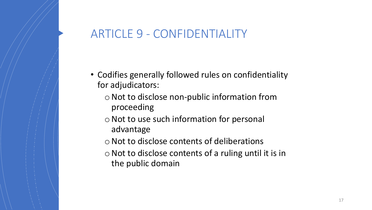#### ARTICLE 9 - CONFIDENTIALITY

- Codifies generally followed rules on confidentiality for adjudicators:
	- $\circ$  Not to disclose non-public information from proceeding
	- $\circ$  Not to use such information for personal advantage
	- oNot to disclose contents of deliberations
	- $\circ$  Not to disclose contents of a ruling until it is in the public domain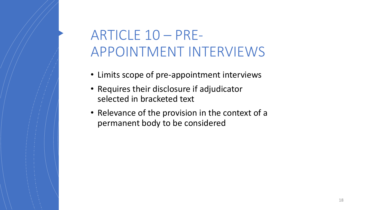# ARTICLE 10 – PRE-APPOINTMENT INTERVIEWS

- Limits scope of pre-appointment interviews
- Requires their disclosure if adjudicator selected in bracketed text
- Relevance of the provision in the context of a permanent body to be considered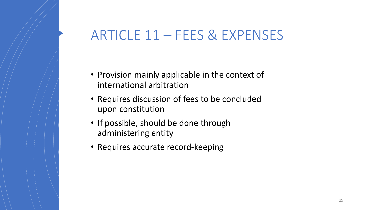## ARTICLE 11 – FEES & EXPENSES

- Provision mainly applicable in the context of international arbitration
- Requires discussion of fees to be concluded upon constitution
- If possible, should be done through administering entity
- Requires accurate record-keeping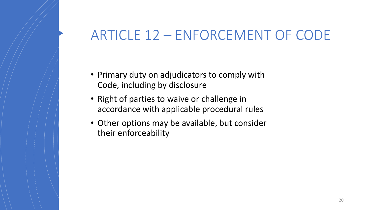## ARTICLE 12 – ENFORCEMENT OF CODE

- Primary duty on adjudicators to comply with Code, including by disclosure
- Right of parties to waive or challenge in accordance with applicable procedural rules
- Other options may be available, but consider their enforceability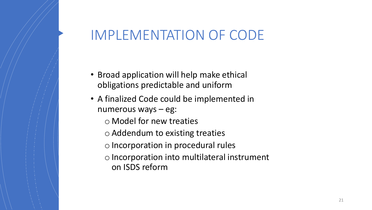## IMPLEMENTATION OF CODE

- Broad application will help make ethical obligations predictable and uniform
- A finalized Code could be implemented in numerous ways – eg:
	- o Model for new treaties
	- oAddendum to existing treaties
	- o Incorporation in procedural rules
	- o Incorporation into multilateral instrument on ISDS reform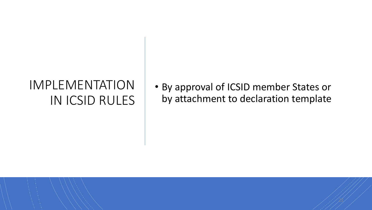## IMPLEMENTATION IN ICSID RULES

• By approval of ICSID member States or by attachment to declaration template